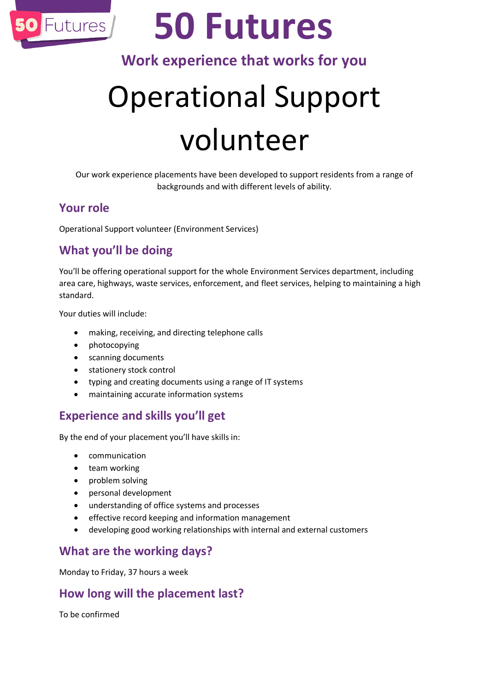

# **50 Futures**

# **Work experience that works for you**

# Operational Support volunteer

Our work experience placements have been developed to support residents from a range of backgrounds and with different levels of ability.

### **Your role**

Operational Support volunteer (Environment Services)

## **What you'll be doing**

You'll be offering operational support for the whole Environment Services department, including area care, highways, waste services, enforcement, and fleet services, helping to maintaining a high standard.

Your duties will include:

- making, receiving, and directing telephone calls
- photocopying
- scanning documents
- stationery stock control
- typing and creating documents using a range of IT systems
- maintaining accurate information systems

### **Experience and skills you'll get**

By the end of your placement you'll have skills in:

- communication
- team working
- problem solving
- personal development
- understanding of office systems and processes
- **•** effective record keeping and information management
- developing good working relationships with internal and external customers

### **What are the working days?**

Monday to Friday, 37 hours a week

## **How long will the placement last?**

To be confirmed